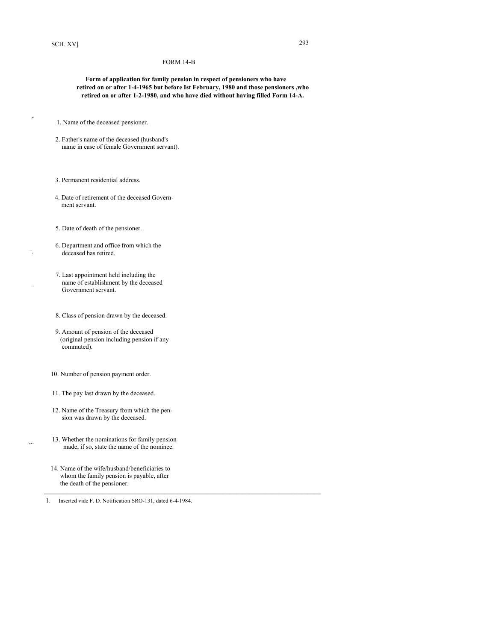,.

## FORM 14-B

 **Form of application for family pension in respect of pensioners who have retired on or after 1-4-1965 but before Ist February, 1980 and those pensioners ,who retired on or after 1-2-1980, and who have died without having filled Form 14-A.** 

1. Name of the deceased pensioner.

- 2. Father's name of the deceased (husband's name in case of female Government servant).
- 3. Permanent residential address.
- 4. Date of retirement of the deceased Govern ment servant.
- 5. Date of death of the pensioner.
- 6. Department and office from which the deceased has retired.
- 7. Last appointment held including the name of establishment by the deceased Government servant.
- 8. Class of pension drawn by the deceased.
- 9. Amount of pension of the deceased (original pension including pension if any commuted).
- 10. Number of pension payment order.
- 11. The pay last drawn by the deceased.
- 12. Name of the Treasury from which the pen sion was drawn by the deceased.
- 13. Whether the nominations for family pension made, if so, state the name of the nominee.
	- 14. Name of the wife/husband/beneficiaries to whom the family pension is payable, after the death of the pensioner.

1. Inserted vide F. D. Notification SRO-131, dated 6-4-1984.

 $\mathcal{L}_\mathcal{L} = \{ \mathcal{L}_\mathcal{L} = \{ \mathcal{L}_\mathcal{L} = \{ \mathcal{L}_\mathcal{L} = \{ \mathcal{L}_\mathcal{L} = \{ \mathcal{L}_\mathcal{L} = \{ \mathcal{L}_\mathcal{L} = \{ \mathcal{L}_\mathcal{L} = \{ \mathcal{L}_\mathcal{L} = \{ \mathcal{L}_\mathcal{L} = \{ \mathcal{L}_\mathcal{L} = \{ \mathcal{L}_\mathcal{L} = \{ \mathcal{L}_\mathcal{L} = \{ \mathcal{L}_\mathcal{L} = \{ \mathcal{L}_\mathcal{$